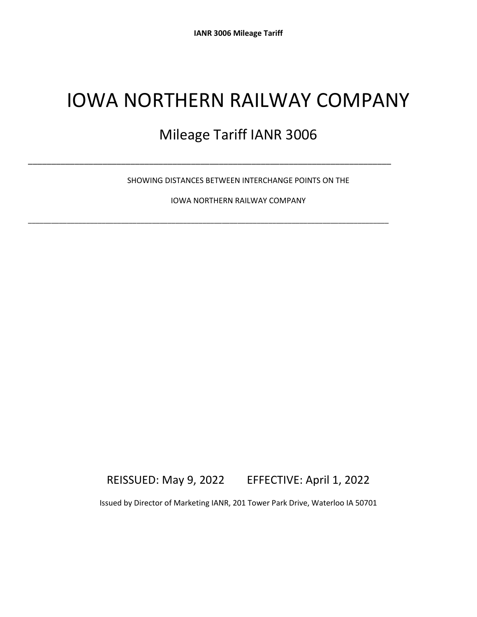# IOWA NORTHERN RAILWAY COMPANY

## Mileage Tariff IANR 3006

SHOWING DISTANCES BETWEEN INTERCHANGE POINTS ON THE

\_\_\_\_\_\_\_\_\_\_\_\_\_\_\_\_\_\_\_\_\_\_\_\_\_\_\_\_\_\_\_\_\_\_\_\_\_\_\_\_\_\_\_\_\_\_\_\_\_\_\_\_\_\_\_\_\_\_\_\_\_\_\_\_\_\_\_\_\_\_\_\_\_\_\_\_\_\_

\_\_\_\_\_\_\_\_\_\_\_\_\_\_\_\_\_\_\_\_\_\_\_\_\_\_\_\_\_\_\_\_\_\_\_\_\_\_\_\_\_\_\_\_\_\_\_\_\_\_\_\_\_\_\_\_\_\_\_\_\_\_\_\_\_\_\_\_\_\_\_\_\_\_\_\_\_\_\_\_\_\_\_\_\_\_\_\_\_\_\_\_\_

IOWA NORTHERN RAILWAY COMPANY

### REISSUED: May 9, 2022 EFFECTIVE: April 1, 2022

Issued by Director of Marketing IANR, 201 Tower Park Drive, Waterloo IA 50701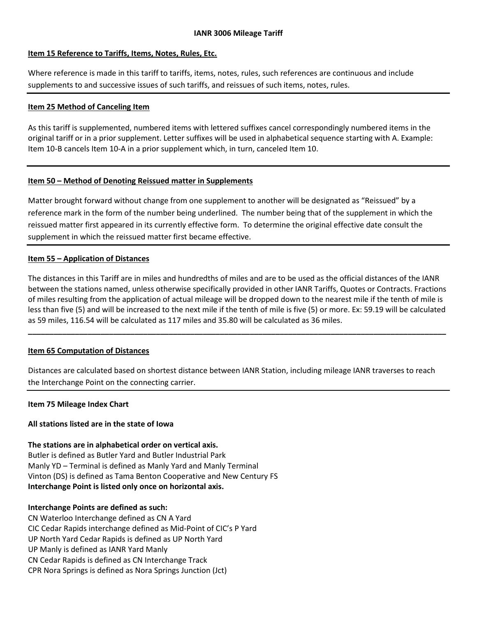#### **Item 15 Reference to Tariffs, Items, Notes, Rules, Etc.**

Where reference is made in this tariff to tariffs, items, notes, rules, such references are continuous and include supplements to and successive issues of such tariffs, and reissues of such items, notes, rules.

#### **Item 25 Method of Canceling Item**

As this tariff is supplemented, numbered items with lettered suffixes cancel correspondingly numbered items in the original tariff or in a prior supplement. Letter suffixes will be used in alphabetical sequence starting with A. Example: Item 10-B cancels Item 10-A in a prior supplement which, in turn, canceled Item 10.

#### **Item 50 – Method of Denoting Reissued matter in Supplements**

Matter brought forward without change from one supplement to another will be designated as "Reissued" by a reference mark in the form of the number being underlined. The number being that of the supplement in which the reissued matter first appeared in its currently effective form. To determine the original effective date consult the supplement in which the reissued matter first became effective.

#### **Item 55 – Application of Distances**

The distances in this Tariff are in miles and hundredths of miles and are to be used as the official distances of the IANR between the stations named, unless otherwise specifically provided in other IANR Tariffs, Quotes or Contracts. Fractions of miles resulting from the application of actual mileage will be dropped down to the nearest mile if the tenth of mile is less than five (5) and will be increased to the next mile if the tenth of mile is five (5) or more. Ex: 59.19 will be calculated as 59 miles, 116.54 will be calculated as 117 miles and 35.80 will be calculated as 36 miles.

**\_\_\_\_\_\_\_\_\_\_\_\_\_\_\_\_\_\_\_\_\_\_\_\_\_\_\_\_\_\_\_\_\_\_\_\_\_\_\_\_\_\_\_\_\_\_\_\_\_\_\_\_\_\_\_\_\_\_\_\_\_\_\_\_\_\_\_\_\_\_\_\_\_\_\_\_\_\_\_\_\_\_\_\_\_\_\_\_\_\_\_\_\_\_\_\_\_\_**

#### **Item 65 Computation of Distances**

Distances are calculated based on shortest distance between IANR Station, including mileage IANR traverses to reach the Interchange Point on the connecting carrier.

#### **Item 75 Mileage Index Chart**

#### **All stations listed are in the state of Iowa**

**The stations are in alphabetical order on vertical axis.** Butler is defined as Butler Yard and Butler Industrial Park Manly YD – Terminal is defined as Manly Yard and Manly Terminal Vinton (DS) is defined as Tama Benton Cooperative and New Century FS **Interchange Point is listed only once on horizontal axis.**

#### **Interchange Points are defined as such:**

CN Waterloo Interchange defined as CN A Yard CIC Cedar Rapids interchange defined as Mid-Point of CIC's P Yard UP North Yard Cedar Rapids is defined as UP North Yard UP Manly is defined as IANR Yard Manly CN Cedar Rapids is defined as CN Interchange Track CPR Nora Springs is defined as Nora Springs Junction (Jct)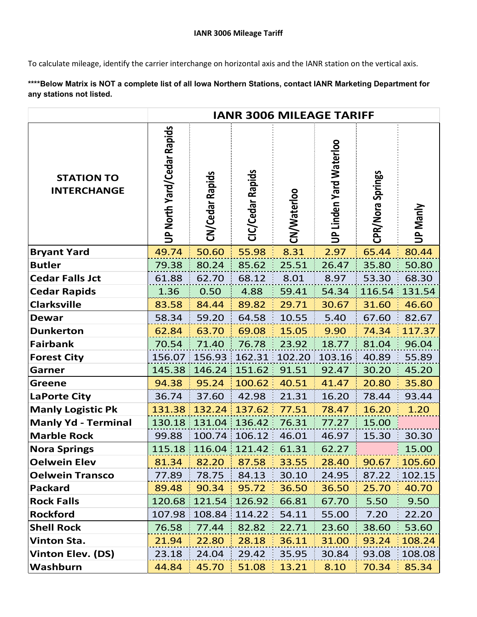To calculate mileage, identify the carrier interchange on horizontal axis and the IANR station on the vertical axis.

**\*\*\*\*Below Matrix is NOT a complete list of all Iowa Northern Stations, contact IANR Marketing Department for any stations not listed.**

|                                         | <b>IANR 3006 MILEAGE TARIFF</b>   |                 |                  |             |                                |                  |                 |
|-----------------------------------------|-----------------------------------|-----------------|------------------|-------------|--------------------------------|------------------|-----------------|
| <b>STATION TO</b><br><b>INTERCHANGE</b> | <b>UP North Yard/Cedar Rapids</b> | CN/Cedar Rapids | CIC/Cedar Rapids | CN/Waterloo | <b>UP Linden Yard Waterloo</b> | CPR/Nora Springs | <b>UP Manly</b> |
| <b>Bryant Yard</b>                      | 49.74                             | 50.60           | 55.98            | 8.31        | 2.97                           | 65.44            | 80.44           |
| <b>Butler</b>                           | 79.38                             | 80.24           | 85.62            | 25.51       | 26.47                          | 35.80            | 50.80           |
| <b>Cedar Falls Jct</b>                  | 61.88                             | 62.70           | 68.12            | 8.01        | 8.97                           | 53.30            | 68.30           |
| <b>Cedar Rapids</b>                     | 1.36                              | 0.50            | 4.88             | 59.41       | 54.34                          | 116.54           | 131.54          |
| <b>Clarksville</b>                      | 83.58                             | 84.44           | 89.82            | 29.71       | 30.67                          | 31.60            | 46.60           |
| <b>Dewar</b>                            | 58.34                             | 59.20           | 64.58            | 10.55       | 5.40                           | 67.60            | 82.67           |
| <b>Dunkerton</b>                        | 62.84                             | 63.70           | 69.08            | 15.05       | 9.90                           | 74.34            | 117.37          |
| <b>Fairbank</b>                         | 70.54                             | 71.40           | 76.78            | 23.92       | 18.77                          | 81.04            | 96.04           |
| <b>Forest City</b>                      | 156.07                            | 156.93          | 162.31           | 102.20      | 103.16                         | 40.89            | 55.89           |
| Garner                                  | 145.38                            | 146.24          | 151.62           | 91.51       | 92.47                          | 30.20            | 45.20           |
| <b>Greene</b>                           | 94.38                             | 95.24           | 100.62           | 40.51       | 41.47                          | 20.80            | 35.80           |
| <b>LaPorte City</b>                     | 36.74                             | 37.60           | 42.98            | 21.31       | 16.20                          | 78.44            | 93.44           |
| <b>Manly Logistic Pk</b>                | 131.38                            | 132.24          | 137.62           | 77.51       | 78.47                          | 16.20            | 1.20            |
| <b>Manly Yd - Terminal</b>              | 130.18                            | 131.04          | 136.42           | 76.31       | 77.27                          | 15.00            |                 |
| <b>Marble Rock</b>                      | 99.88                             | 100.74          | 106.12           | 46.01       | 46.97                          | 15.30            | 30.30           |
| <b>Nora Springs</b>                     | 115.18                            | 116.04          | 121.42           | 61.31       | 62.27                          |                  | 15.00           |
| <b>Oelwein Elev</b>                     | 81.34                             | 82.20           | 87.58            | 33.55       | 28.40                          | 90.67            | 105.60          |
| <b>Oelwein Transco</b>                  | 77.89                             | 78.75           | 84.13            | 30.10       | 24.95                          | 87.22            | 102.15          |
| <b>Packard</b>                          | 89.48                             | 90.34           | 95.72            | 36.50       | 36.50                          | 25.70            | 40.70           |
| <b>Rock Falls</b>                       | 120.68                            | 121.54          | 126.92           | 66.81       | 67.70                          | 5.50             | 9.50            |
| <b>Rockford</b>                         | 107.98                            | 108.84          | 114.22           | 54.11       | 55.00                          | 7.20             | 22.20           |
| <b>Shell Rock</b>                       | 76.58                             | 77.44           | 82.82            | 22.71       | 23.60                          | 38.60            | 53.60           |
| <b>Vinton Sta.</b>                      | 21.94                             | 22.80           | 28.18            | 36.11       | 31.00                          | 93.24            | 108.24          |
| <b>Vinton Elev. (DS)</b>                | 23.18                             | 24.04           | 29.42            | 35.95       | 30.84                          | 93.08            | 108.08          |
| Washburn                                | 44.84                             | 45.70           | 51.08            | 13.21       | 8.10                           | 70.34            | 85.34           |